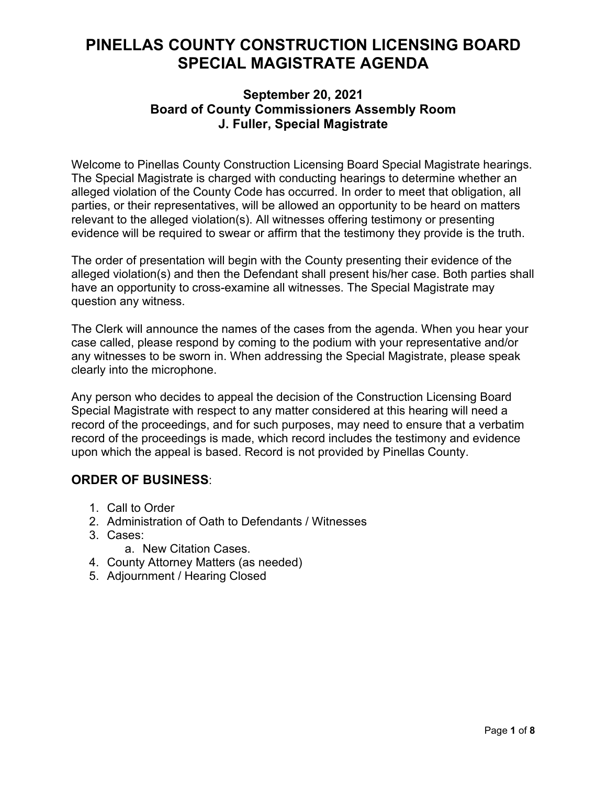# **PINELLAS COUNTY CONSTRUCTION LICENSING BOARD SPECIAL MAGISTRATE AGENDA**

## **September 20, 2021 Board of County Commissioners Assembly Room J. Fuller, Special Magistrate**

Welcome to Pinellas County Construction Licensing Board Special Magistrate hearings. The Special Magistrate is charged with conducting hearings to determine whether an alleged violation of the County Code has occurred. In order to meet that obligation, all parties, or their representatives, will be allowed an opportunity to be heard on matters relevant to the alleged violation(s). All witnesses offering testimony or presenting evidence will be required to swear or affirm that the testimony they provide is the truth.

The order of presentation will begin with the County presenting their evidence of the alleged violation(s) and then the Defendant shall present his/her case. Both parties shall have an opportunity to cross-examine all witnesses. The Special Magistrate may question any witness.

The Clerk will announce the names of the cases from the agenda. When you hear your case called, please respond by coming to the podium with your representative and/or any witnesses to be sworn in. When addressing the Special Magistrate, please speak clearly into the microphone.

Any person who decides to appeal the decision of the Construction Licensing Board Special Magistrate with respect to any matter considered at this hearing will need a record of the proceedings, and for such purposes, may need to ensure that a verbatim record of the proceedings is made, which record includes the testimony and evidence upon which the appeal is based. Record is not provided by Pinellas County.

## **ORDER OF BUSINESS**:

- 1. Call to Order
- 2. Administration of Oath to Defendants / Witnesses
- 3. Cases:
	- a. New Citation Cases.
- 4. County Attorney Matters (as needed)
- 5. Adjournment / Hearing Closed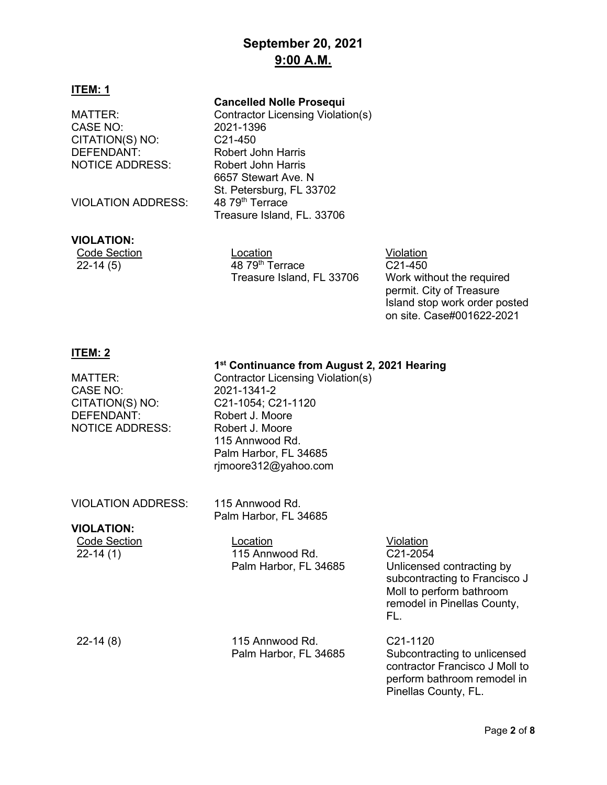## **September 20, 2021 9:00 A.M.**

#### **ITEM: 1**

**Cancelled Nolle Prosequi**

6657 Stewart Ave. N

St. Petersburg, FL 33702<br>48 79<sup>th</sup> Terrace

Treasure Island, FL. 33706

MATTER: Contractor Licensing Violation(s)<br>CASE NO: 2021-1396 CASE NO: CITATION(S) NO: C21-450 DEFENDANT: Robert John Harris NOTICE ADDRESS: Robert John Harris

VIOLATION ADDRESS:

#### **VIOLATION:**

| .                   |  |
|---------------------|--|
| <b>Code Section</b> |  |
| 22-14 (5)           |  |

Location Violation 48 79<sup>th</sup> Terrace Treasure Island, FL 33706

C21-450 Work without the required permit. City of Treasure Island stop work order posted on site. Case#001622-2021

#### **ITEM: 2**

#### **1st Continuance from August 2, 2021 Hearing**

| MATTER:<br>CASE NO:<br>CITATION(S) NO:<br>DEFENDANT:<br><b>NOTICE ADDRESS:</b> | Contractor Licensing Violation(s)<br>2021-1341-2<br>C21-1054; C21-1120<br>Robert J. Moore<br>Robert J. Moore<br>115 Annwood Rd.<br>Palm Harbor, FL 34685<br>rjmoore312@yahoo.com |                                                                                                                                                       |
|--------------------------------------------------------------------------------|----------------------------------------------------------------------------------------------------------------------------------------------------------------------------------|-------------------------------------------------------------------------------------------------------------------------------------------------------|
| <b>VIOLATION ADDRESS:</b><br><b>VIOLATION:</b>                                 | 115 Annwood Rd.<br>Palm Harbor, FL 34685                                                                                                                                         |                                                                                                                                                       |
| <b>Code Section</b><br>$22 - 14(1)$                                            | Location<br>115 Annwood Rd.<br>Palm Harbor, FL 34685                                                                                                                             | Violation<br>C21-2054<br>Unlicensed contracting by<br>subcontracting to Francisco J<br>Moll to perform bathroom<br>remodel in Pinellas County,<br>FL. |
| $22-14(8)$                                                                     | 115 Annwood Rd.<br>Palm Harbor, FL 34685                                                                                                                                         | C <sub>21</sub> -1120<br>Subcontracting to unlicensed<br>contractor Francisco J Moll to<br>perform bathroom remodel in<br>Pinellas County, FL.        |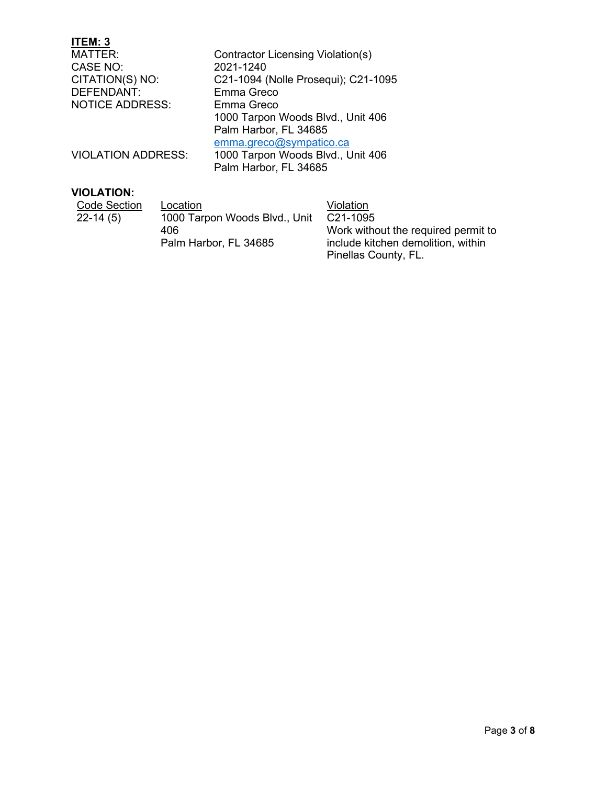| ITEM: 3                   |                                     |
|---------------------------|-------------------------------------|
| MATTER:                   | Contractor Licensing Violation(s)   |
| CASE NO:                  | 2021-1240                           |
| CITATION(S) NO:           | C21-1094 (Nolle Prosequi); C21-1095 |
| DEFENDANT:                | Emma Greco                          |
| <b>NOTICE ADDRESS:</b>    | Emma Greco                          |
|                           | 1000 Tarpon Woods Blvd., Unit 406   |
|                           | Palm Harbor, FL 34685               |
|                           | emma.greco@sympatico.ca             |
| <b>VIOLATION ADDRESS:</b> | 1000 Tarpon Woods Blvd., Unit 406   |
|                           | Palm Harbor, FL 34685               |
|                           |                                     |

## **VIOLATION:**

| Code Section | Location                      | Violation                           |
|--------------|-------------------------------|-------------------------------------|
| $22-14(5)$   | 1000 Tarpon Woods Blvd., Unit | C <sub>21</sub> -1095               |
|              | 406.                          | Work without the required permit to |
|              | Palm Harbor, FL 34685         | include kitchen demolition, within  |
|              |                               | Pinellas County, FL.                |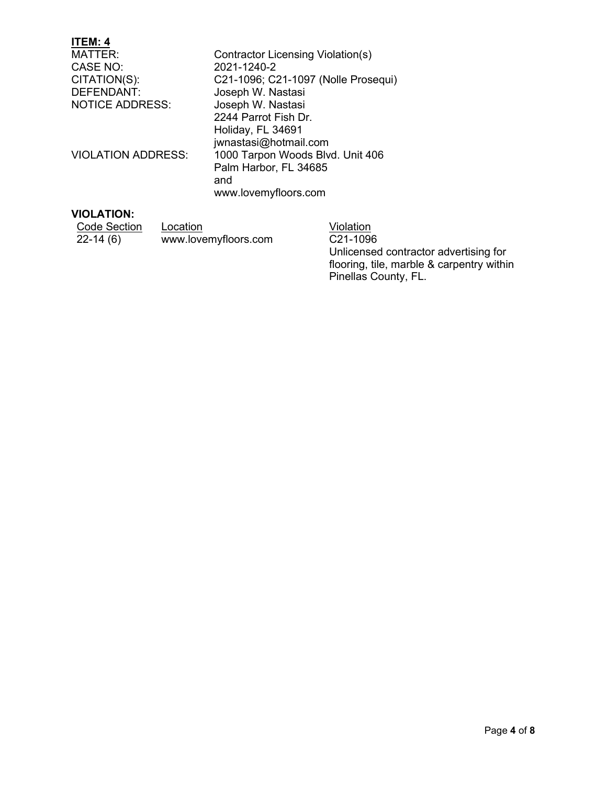| <b>ITEM: 4</b>            |                                     |
|---------------------------|-------------------------------------|
| MATTER:                   | Contractor Licensing Violation(s)   |
| CASE NO:                  | 2021-1240-2                         |
| CITATION(S):              | C21-1096; C21-1097 (Nolle Prosequi) |
| <b>DEFENDANT:</b>         | Joseph W. Nastasi                   |
| <b>NOTICE ADDRESS:</b>    | Joseph W. Nastasi                   |
|                           | 2244 Parrot Fish Dr.                |
|                           | Holiday, FL 34691                   |
|                           | jwnastasi@hotmail.com               |
| <b>VIOLATION ADDRESS:</b> | 1000 Tarpon Woods Blvd. Unit 406    |
|                           | Palm Harbor, FL 34685               |
|                           | and                                 |
|                           | www.lovemyfloors.com                |
| VIOL ATION:               |                                     |

#### **VIOLATION:**

| Code Section | Location             | Violation        |
|--------------|----------------------|------------------|
| $22-14(6)$   | www.lovemyfloors.com | C21-109          |
|              |                      | $11$ alia a na a |

<u>lation</u><br>1-1096 Unlicensed contractor advertising for flooring, tile, marble & carpentry within Pinellas County, FL.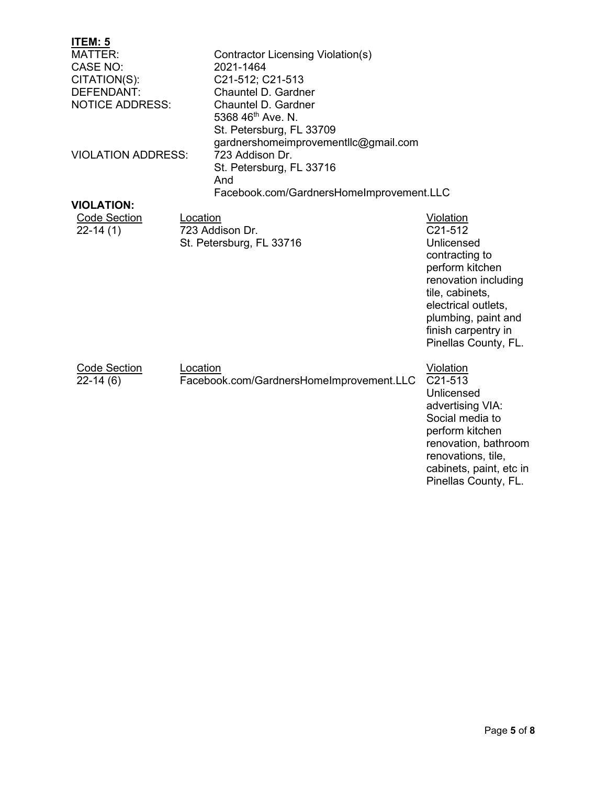## **ITEM: 5**

| <u>і і Еіуі. Ә</u>        |          |                                          |                                  |
|---------------------------|----------|------------------------------------------|----------------------------------|
| <b>MATTER:</b>            |          | <b>Contractor Licensing Violation(s)</b> |                                  |
| <b>CASE NO:</b>           |          | 2021-1464                                |                                  |
| CITATION(S):              |          | C21-512; C21-513                         |                                  |
| DEFENDANT:                |          | Chauntel D. Gardner                      |                                  |
| <b>NOTICE ADDRESS:</b>    |          | Chauntel D. Gardner                      |                                  |
|                           |          | 5368 46 <sup>th</sup> Ave. N.            |                                  |
|                           |          | St. Petersburg, FL 33709                 |                                  |
|                           |          | gardnershomeimprovementllc@gmail.com     |                                  |
| <b>VIOLATION ADDRESS:</b> |          | 723 Addison Dr.                          |                                  |
|                           |          | St. Petersburg, FL 33716                 |                                  |
|                           |          | And                                      |                                  |
|                           |          | Facebook.com/GardnersHomeImprovement.LLC |                                  |
| <b>VIOLATION:</b>         |          |                                          |                                  |
| <b>Code Section</b>       | Location |                                          | Violation                        |
| $22 - 14(1)$              |          | 723 Addison Dr.                          | C <sub>21</sub> -51 <sub>2</sub> |
|                           |          | St. Petersburg, FL 33716                 | Unlicensed                       |
|                           |          |                                          | contracting to                   |
|                           |          |                                          | perform kitchen                  |
|                           |          |                                          | renovation including             |
|                           |          |                                          | tile, cabinets,                  |
|                           |          |                                          |                                  |
|                           |          |                                          | electrical outlets,              |
|                           |          |                                          | plumbing, paint and              |
|                           |          |                                          | finish carpentry in              |
|                           |          |                                          | Pinellas County, FL.             |
|                           |          |                                          |                                  |
| <b>Code Section</b>       | Location | Facebook.com/GardnersHomeImprovement.LLC | <b>Violation</b><br>C21-513      |
| $22-14(6)$                |          |                                          | Unlicensed                       |
|                           |          |                                          |                                  |
|                           |          |                                          | advertising VIA:                 |
|                           |          |                                          | Social media to                  |
|                           |          |                                          | perform kitchen                  |
|                           |          |                                          | renovation, bathroom             |

renovations, tile, cabinets, paint, etc in Pinellas County, FL.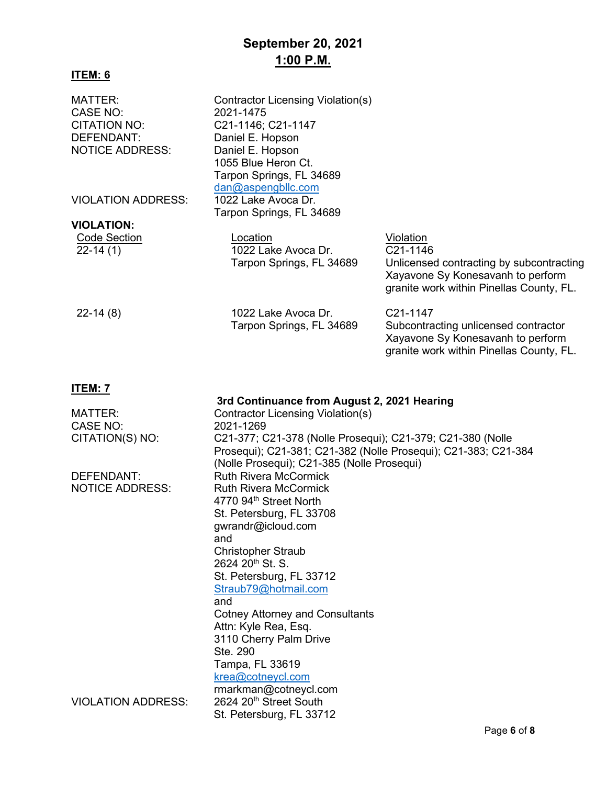## **September 20, 2021 1:00 P.M.**

### **ITEM: 6**

| MATTER:<br>CASE NO:<br><b>CITATION NO:</b><br>DEFENDANT:<br><b>NOTICE ADDRESS:</b> | Contractor Licensing Violation(s)<br>2021-1475<br>C21-1146; C21-1147<br>Daniel E. Hopson<br>Daniel E. Hopson<br>1055 Blue Heron Ct.<br>Tarpon Springs, FL 34689            |                                                                                                                                                    |
|------------------------------------------------------------------------------------|----------------------------------------------------------------------------------------------------------------------------------------------------------------------------|----------------------------------------------------------------------------------------------------------------------------------------------------|
| <b>VIOLATION ADDRESS:</b>                                                          | dan@aspengbllc.com<br>1022 Lake Avoca Dr.<br>Tarpon Springs, FL 34689                                                                                                      |                                                                                                                                                    |
| <b>VIOLATION:</b>                                                                  |                                                                                                                                                                            |                                                                                                                                                    |
| <b>Code Section</b><br>$22 - 14(1)$                                                | Location<br>1022 Lake Avoca Dr.<br>Tarpon Springs, FL 34689                                                                                                                | Violation<br>C21-1146<br>Unlicensed contracting by subcontracting<br>Xayavone Sy Konesavanh to perform<br>granite work within Pinellas County, FL. |
| $22-14(8)$                                                                         | 1022 Lake Avoca Dr.<br>Tarpon Springs, FL 34689                                                                                                                            | C21-1147<br>Subcontracting unlicensed contractor<br>Xayavone Sy Konesavanh to perform<br>granite work within Pinellas County, FL.                  |
| <u>ITEM: 7</u>                                                                     |                                                                                                                                                                            |                                                                                                                                                    |
|                                                                                    | 3rd Continuance from August 2, 2021 Hearing                                                                                                                                |                                                                                                                                                    |
| <b>MATTER:</b>                                                                     | <b>Contractor Licensing Violation(s)</b>                                                                                                                                   |                                                                                                                                                    |
| CASE NO:                                                                           | 2021-1269                                                                                                                                                                  |                                                                                                                                                    |
| CITATION(S) NO:                                                                    | C21-377; C21-378 (Nolle Prosequi); C21-379; C21-380 (Nolle<br>Prosequi); C21-381; C21-382 (Nolle Prosequi); C21-383; C21-384<br>(Nolle Prosequi); C21-385 (Nolle Prosequi) |                                                                                                                                                    |
| DEFENDANT:                                                                         | <b>Ruth Rivera McCormick</b>                                                                                                                                               |                                                                                                                                                    |
| <b>NOTICE ADDRESS:</b>                                                             | <b>Ruth Rivera McCormick</b>                                                                                                                                               |                                                                                                                                                    |
|                                                                                    | 4770 94th Street North                                                                                                                                                     |                                                                                                                                                    |
|                                                                                    | St. Petersburg, FL 33708                                                                                                                                                   |                                                                                                                                                    |
|                                                                                    | gwrandr@icloud.com                                                                                                                                                         |                                                                                                                                                    |
|                                                                                    | and                                                                                                                                                                        |                                                                                                                                                    |
|                                                                                    | <b>Christopher Straub</b>                                                                                                                                                  |                                                                                                                                                    |
|                                                                                    | 2624 20 <sup>th</sup> St. S.                                                                                                                                               |                                                                                                                                                    |
|                                                                                    | St. Petersburg, FL 33712                                                                                                                                                   |                                                                                                                                                    |
|                                                                                    | Straub79@hotmail.com                                                                                                                                                       |                                                                                                                                                    |
|                                                                                    | and                                                                                                                                                                        |                                                                                                                                                    |
|                                                                                    | <b>Cotney Attorney and Consultants</b>                                                                                                                                     |                                                                                                                                                    |
|                                                                                    | Attn: Kyle Rea, Esq.                                                                                                                                                       |                                                                                                                                                    |
|                                                                                    | 3110 Cherry Palm Drive                                                                                                                                                     |                                                                                                                                                    |
|                                                                                    | Ste. 290                                                                                                                                                                   |                                                                                                                                                    |
|                                                                                    | Tampa, FL 33619                                                                                                                                                            |                                                                                                                                                    |
|                                                                                    | krea@cotneycl.com                                                                                                                                                          |                                                                                                                                                    |
|                                                                                    |                                                                                                                                                                            |                                                                                                                                                    |

rmarkman@cotneycl.com VIOLATION ADDRESS: 2624 20<sup>th</sup> Street South St. Petersburg, FL 33712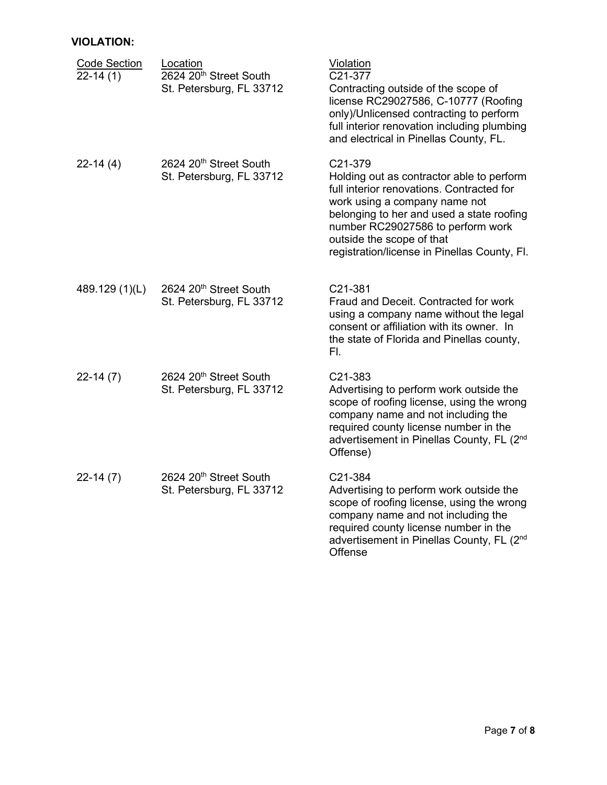### **VIOLATION:**

| <b>Code Section</b><br>$22-14(1)$ | Location<br>2624 20 <sup>th</sup> Street South<br>St. Petersburg, FL 33712 | <b>Violation</b><br>C21-377<br>Contracting outside of the scope of<br>license RC29027586, C-10777 (Roofing<br>only)/Unlicensed contracting to perform<br>full interior renovation including plumbing<br>and electrical in Pinellas County, FL.                                                    |
|-----------------------------------|----------------------------------------------------------------------------|---------------------------------------------------------------------------------------------------------------------------------------------------------------------------------------------------------------------------------------------------------------------------------------------------|
| $22-14(4)$                        | 2624 20 <sup>th</sup> Street South<br>St. Petersburg, FL 33712             | C21-379<br>Holding out as contractor able to perform<br>full interior renovations. Contracted for<br>work using a company name not<br>belonging to her and used a state roofing<br>number RC29027586 to perform work<br>outside the scope of that<br>registration/license in Pinellas County, Fl. |
| 489.129 (1)(L)                    | 2624 20th Street South<br>St. Petersburg, FL 33712                         | C21-381<br>Fraud and Deceit. Contracted for work<br>using a company name without the legal<br>consent or affiliation with its owner. In<br>the state of Florida and Pinellas county,<br>FI.                                                                                                       |
| $22-14(7)$                        | 2624 20th Street South<br>St. Petersburg, FL 33712                         | C21-383<br>Advertising to perform work outside the<br>scope of roofing license, using the wrong<br>company name and not including the<br>required county license number in the<br>advertisement in Pinellas County, FL (2 <sup>nd</sup><br>Offense)                                               |
| $22-14(7)$                        | 2624 20 <sup>th</sup> Street South<br>St. Petersburg, FL 33712             | C21-384<br>Advertising to perform work outside the<br>scope of roofing license, using the wrong<br>company name and not including the<br>required county license number in the<br>advertisement in Pinellas County, FL (2 <sup>nd</sup><br>Offense                                                |